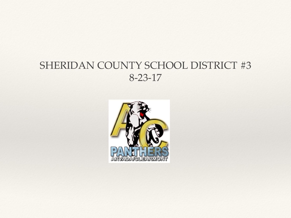#### SHERIDAN COUNTY SCHOOL DISTRICT #3 8-23-17

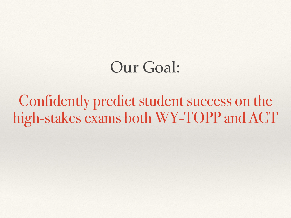### Our Goal:

Confidently predict student success on the high-stakes exams both WY-TOPP and ACT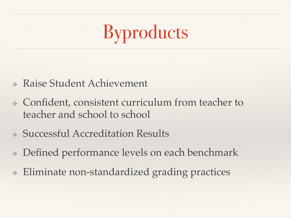# Byproducts

- ❖ Raise Student Achievement
- ❖ Confident, consistent curriculum from teacher to teacher and school to school
- ❖ Successful Accreditation Results
- ❖ Defined performance levels on each benchmark
- ❖ Eliminate non-standardized grading practices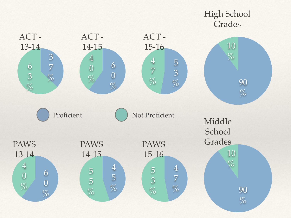#### 90  $\%$ 10  $\%$ High School Grades 90  $\%$ 10  $\%$ Middle School Grades 5 3  $\%$ 4 7  $\%$ ACT - 15-16 6 0  $\%$ 4 0  $\boxed{\%}$ ACT - 14-15 3 7  $\%$ 6 3  $\%$ ACT - 13-14 4 7  $\%$ 5 3  $\%$ PAWS 15-16 4 5  $\%$ 5 5  $\%$ PAWS 14-15 6 0  $\%$ 4 0  $\%$ PAWS 13-14 Proficient ( ) Not Proficient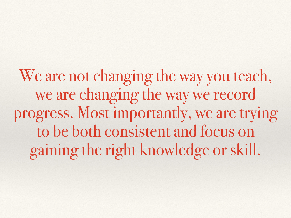We are not changing the way you teach, we are changing the way we record progress. Most importantly, we are trying to be both consistent and focus on gaining the right knowledge or skill.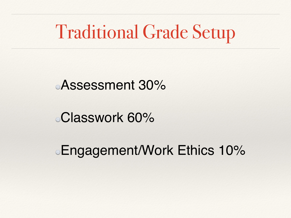### Traditional Grade Setup

#### Assessment 30%

#### Classwork 60%

#### Engagement/Work Ethics 10%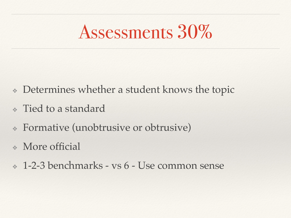### Assessments 30%

- ❖ Determines whether a student knows the topic
- ❖ Tied to a standard
- ❖ Formative (unobtrusive or obtrusive)
- ❖ More official
- ❖ 1-2-3 benchmarks vs 6 Use common sense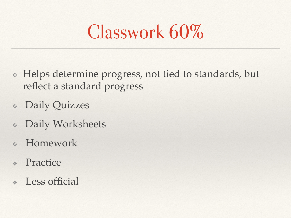## Classwork 60%

- ❖ Helps determine progress, not tied to standards, but reflect a standard progress
- ❖ Daily Quizzes
- ❖ Daily Worksheets
- **Homework**
- ❖ Practice
- Less official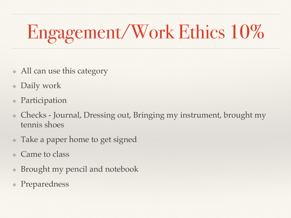# Engagement/Work Ethics 10%

- ❖ All can use this category
- ❖ Daily work
- ❖ Participation
- ❖ Checks Journal, Dressing out, Bringing my instrument, brought my tennis shoes
- ❖ Take a paper home to get signed
- ❖ Came to class
- ❖ Brought my pencil and notebook
- ❖ Preparedness